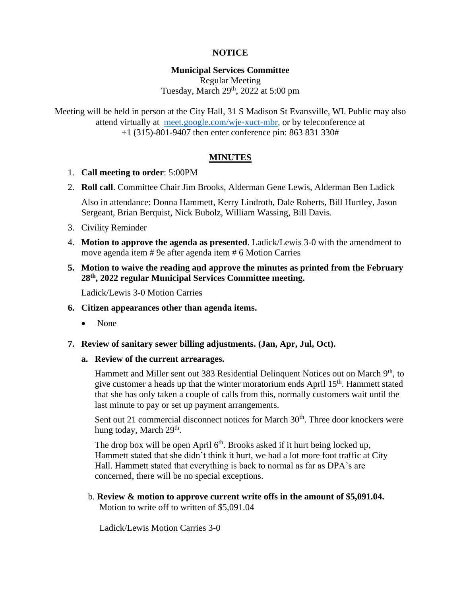# **NOTICE**

#### **Municipal Services Committee** Regular Meeting

Tuesday, March 29<sup>th</sup>, 2022 at 5:00 pm

Meeting will be held in person at the City Hall, 31 S Madison St Evansville, WI. Public may also attend virtually at [meet.google.com/wje-xuct-mbr,](file:///G:/My%20Drive/Meetings/MSC/2022/01-22/meet.google.com/wje-xuct-mbr) or by teleconference at +1 (315)-801-9407 then enter conference pin: 863 831 330#

# **MINUTES**

- 1. **Call meeting to order**: 5:00PM
- 2. **Roll call**. Committee Chair Jim Brooks, Alderman Gene Lewis, Alderman Ben Ladick

Also in attendance: Donna Hammett, Kerry Lindroth, Dale Roberts, Bill Hurtley, Jason Sergeant, Brian Berquist, Nick Bubolz, William Wassing, Bill Davis.

- 3. Civility Reminder
- 4. **Motion to approve the agenda as presented**. Ladick/Lewis 3-0 with the amendment to move agenda item # 9e after agenda item # 6 Motion Carries
- **5. Motion to waive the reading and approve the minutes as printed from the February 28th, 2022 regular Municipal Services Committee meeting.**

Ladick/Lewis 3-0 Motion Carries

- **6. Citizen appearances other than agenda items.**
	- None
- **7. Review of sanitary sewer billing adjustments. (Jan, Apr, Jul, Oct).**
	- **a. Review of the current arrearages.**

Hammett and Miller sent out 383 Residential Delinquent Notices out on March 9<sup>th</sup>, to give customer a heads up that the winter moratorium ends April  $15<sup>th</sup>$ . Hammett stated that she has only taken a couple of calls from this, normally customers wait until the last minute to pay or set up payment arrangements.

Sent out 21 commercial disconnect notices for March 30<sup>th</sup>. Three door knockers were hung today, March 29<sup>th</sup>.

The drop box will be open April  $6<sup>th</sup>$ . Brooks asked if it hurt being locked up, Hammett stated that she didn't think it hurt, we had a lot more foot traffic at City Hall. Hammett stated that everything is back to normal as far as DPA's are concerned, there will be no special exceptions.

 b. **Review & motion to approve current write offs in the amount of \$5,091.04.** Motion to write off to written of \$5,091.04

Ladick/Lewis Motion Carries 3-0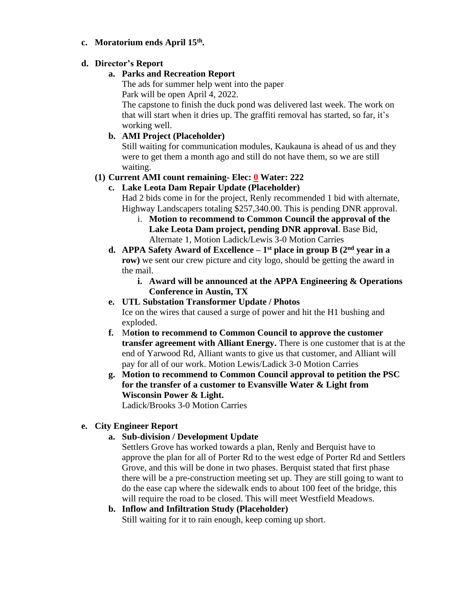#### **c. Moratorium ends April 15th .**

#### **d. Director's Report**

#### **a. Parks and Recreation Report**

The ads for summer help went into the paper Park will be open April 4, 2022.

The capstone to finish the duck pond was delivered last week. The work on that will start when it dries up. The graffiti removal has started, so far, it's working well.

# **b. AMI Project (Placeholder)**

Still waiting for communication modules, Kaukauna is ahead of us and they were to get them a month ago and still do not have them, so we are still waiting.

### **(1) Current AMI count remaining- Elec: 0 Water: 222**

# **c. Lake Leota Dam Repair Update (Placeholder)**

Had 2 bids come in for the project, Renly recommended 1 bid with alternate, Highway Landscapers totaling \$257,340.00. This is pending DNR approval.

- i. **Motion to recommend to Common Council the approval of the Lake Leota Dam project, pending DNR approval**. Base Bid, Alternate 1, Motion Ladick/Lewis 3-0 Motion Carries
- **d.** APPA Safety Award of Excellence 1<sup>st</sup> place in group B (2<sup>nd</sup> year in a **row**) we sent our crew picture and city logo, should be getting the award in the mail.
	- **i. Award will be announced at the APPA Engineering & Operations Conference in Austin, TX**

# **e. UTL Substation Transformer Update / Photos** Ice on the wires that caused a surge of power and hit the H1 bushing and exploded.

- **f.** M**otion to recommend to Common Council to approve the customer transfer agreement with Alliant Energy.** There is one customer that is at the end of Yarwood Rd, Alliant wants to give us that customer, and Alliant will pay for all of our work. Motion Lewis/Ladick 3-0 Motion Carries
- **g. Motion to recommend to Common Council approval to petition the PSC for the transfer of a customer to Evansville Water & Light from Wisconsin Power & Light.**

Ladick/Brooks 3-0 Motion Carries

#### **e. City Engineer Report**

**a. Sub-division / Development Update**

Settlers Grove has worked towards a plan, Renly and Berquist have to approve the plan for all of Porter Rd to the west edge of Porter Rd and Settlers Grove, and this will be done in two phases. Berquist stated that first phase there will be a pre-construction meeting set up. They are still going to want to do the ease cap where the sidewalk ends to about 100 feet of the bridge, this will require the road to be closed. This will meet Westfield Meadows.

# **b. Inflow and Infiltration Study (Placeholder)**

Still waiting for it to rain enough, keep coming up short.